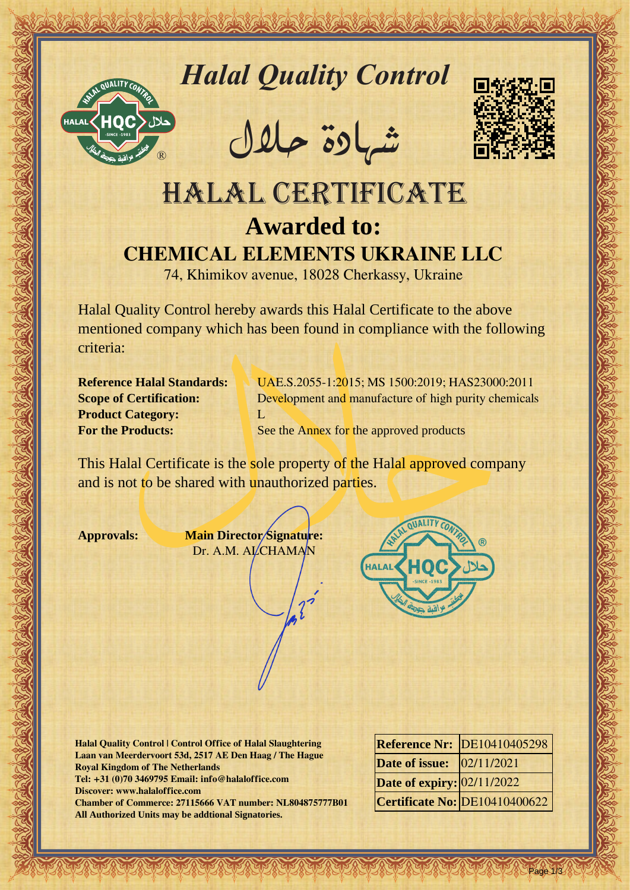

*Halal Quality Control*

REACTOR AND THE REAL PROPERTY OF THE REAL PROPERTY

�شهادة حالل



## Hallal Quality Control magnetic and in Control magnetic and in the photos were the space of the space of the space of the space of the space of the space of the space of the space of the space of the space of the space of HALAL CERTIFICATE **Awarded to: CHEMICAL ELEMENTS UKRAINE LLC**

74, Khimikov avenue, 18028 Cherkassy, Ukraine

Halal Quality Control hereby awards this Halal Certificate to the above mentioned company which has been found in compliance with the following criteria:

**Product Category:** L

**Reference Halal Standards:** UAE.S.2055-1:2015; MS 1500:2019; HAS23000:2011 **Scope of Certification:** Development and manufacture of high purity chemicals **For the Products:** See the Annex for the approved products

This Halal Certificate is the sole property of the Halal approved company and is not to be shared with unauthorized parties.

**Approvals: Main Director Signature:** Dr. A.M. ALCHAMAN



**Halal Quality Control | Control Office of Halal Slaughtering Laan van Meerdervoort 53d, 2517 AE Den Haag / The Hague Royal Kingdom of The Netherlands Tel: +31 (0)70 3469795 Email: info@halaloffice.com Discover: www.halaloffice.com Chamber of Commerce: 27115666 VAT number: NL804875777B01 All Authorized Units may be addtional Signatories.**

|                                  | <b>Reference Nr: DE10410405298</b> |
|----------------------------------|------------------------------------|
| <b>Date of issue:</b> 02/11/2021 |                                    |
| Date of expiry: 02/11/2022       |                                    |
|                                  | Certificate No: DE10410400622      |

Page 1/3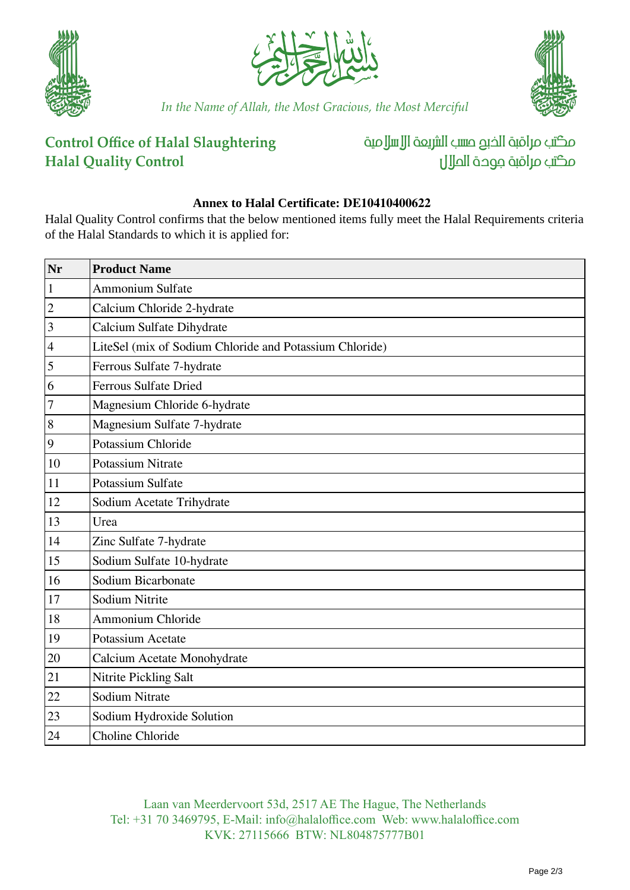





*In the Name of Allah, the Most Gracious, the Most Merciful*

## **Control Office of Halal Slaughtering Halal Quality Control**

مكتب مراقبة الذبم صسب الشريعة الإسلامية مكتب مراقبة جودة المالل

## **Annex to Halal Certificate: DE10410400622**

Halal Quality Control confirms that the below mentioned items fully meet the Halal Requirements criteria of the Halal Standards to which it is applied for:

| Nr              | <b>Product Name</b>                                     |
|-----------------|---------------------------------------------------------|
| $\vert$ 1       | Ammonium Sulfate                                        |
| $ 2\rangle$     | Calcium Chloride 2-hydrate                              |
| $\vert$ 3       | Calcium Sulfate Dihydrate                               |
| $\vert 4$       | LiteSel (mix of Sodium Chloride and Potassium Chloride) |
| $\overline{5}$  | Ferrous Sulfate 7-hydrate                               |
| 6               | <b>Ferrous Sulfate Dried</b>                            |
| $\overline{7}$  | Magnesium Chloride 6-hydrate                            |
| 8               | Magnesium Sulfate 7-hydrate                             |
| $\vert 9 \vert$ | Potassium Chloride                                      |
| 10              | <b>Potassium Nitrate</b>                                |
| 11              | Potassium Sulfate                                       |
| 12              | Sodium Acetate Trihydrate                               |
| 13              | Urea                                                    |
| 14              | Zinc Sulfate 7-hydrate                                  |
| 15              | Sodium Sulfate 10-hydrate                               |
| 16              | Sodium Bicarbonate                                      |
| 17              | Sodium Nitrite                                          |
| 18              | Ammonium Chloride                                       |
| 19              | Potassium Acetate                                       |
| 20              | Calcium Acetate Monohydrate                             |
| $21\,$          | Nitrite Pickling Salt                                   |
| 22              | Sodium Nitrate                                          |
| 23              | Sodium Hydroxide Solution                               |
| 24              | Choline Chloride                                        |

Laan van Meerdervoort 53d, 2517 AE The Hague, The Netherlands Tel: +31 70 3469795, E-Mail: info@halaloffice.com Web: www.halaloffice.com KVK: 27115666 BTW: NL804875777B01